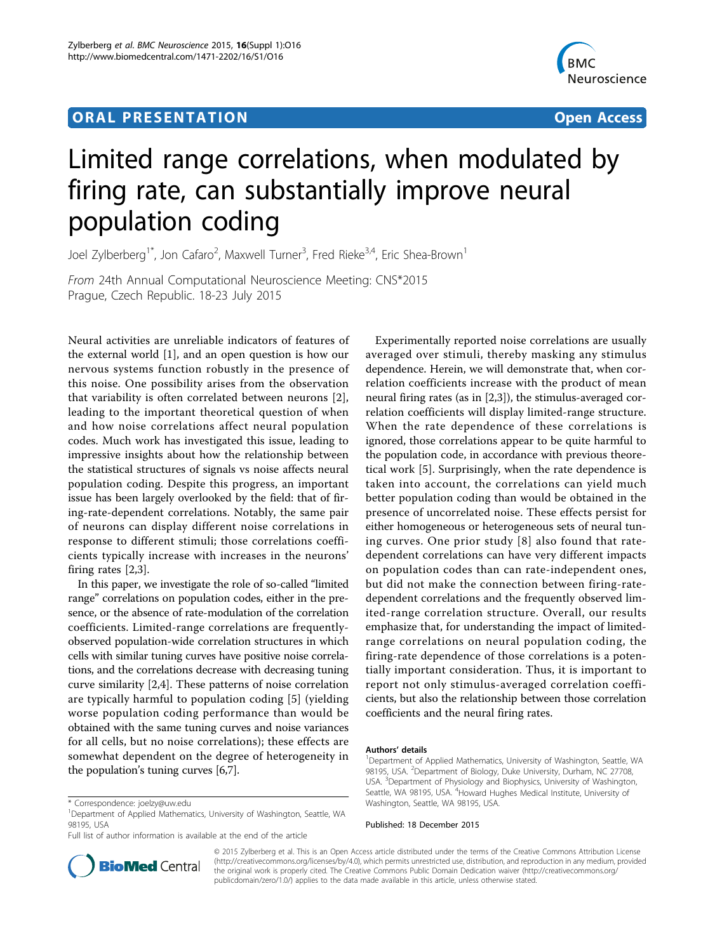# **ORAL PRESENTATION CONSUMING ACCESS**



# Limited range correlations, when modulated by firing rate, can substantially improve neural population coding

Joel Zylberberg<sup>1\*</sup>, Jon Cafaro<sup>2</sup>, Maxwell Turner<sup>3</sup>, Fred Rieke<sup>3,4</sup>, Eric Shea-Brown<sup>1</sup>

From 24th Annual Computational Neuroscience Meeting: CNS\*2015 Prague, Czech Republic. 18-23 July 2015

Neural activities are unreliable indicators of features of the external world [\[1\]](#page-1-0), and an open question is how our nervous systems function robustly in the presence of this noise. One possibility arises from the observation that variability is often correlated between neurons [[2](#page-1-0)], leading to the important theoretical question of when and how noise correlations affect neural population codes. Much work has investigated this issue, leading to impressive insights about how the relationship between the statistical structures of signals vs noise affects neural population coding. Despite this progress, an important issue has been largely overlooked by the field: that of firing-rate-dependent correlations. Notably, the same pair of neurons can display different noise correlations in response to different stimuli; those correlations coefficients typically increase with increases in the neurons' firing rates [\[2,3](#page-1-0)].

In this paper, we investigate the role of so-called "limited range" correlations on population codes, either in the presence, or the absence of rate-modulation of the correlation coefficients. Limited-range correlations are frequentlyobserved population-wide correlation structures in which cells with similar tuning curves have positive noise correlations, and the correlations decrease with decreasing tuning curve similarity [\[2,4](#page-1-0)]. These patterns of noise correlation are typically harmful to population coding [[5\]](#page-1-0) (yielding worse population coding performance than would be obtained with the same tuning curves and noise variances for all cells, but no noise correlations); these effects are somewhat dependent on the degree of heterogeneity in the population's tuning curves [[6,7](#page-1-0)].

Full list of author information is available at the end of the article



#### Authors' details <sup>1</sup>

#### Published: 18 December 2015



© 2015 Zylberberg et al. This is an Open Access article distributed under the terms of the Creative Commons Attribution License [\(http://creativecommons.org/licenses/by/4.0](http://creativecommons.org/licenses/by/4.0)), which permits unrestricted use, distribution, and reproduction in any medium, provided the original work is properly cited. The Creative Commons Public Domain Dedication waiver ([http://creativecommons.org/](http://creativecommons.org/publicdomain/zero/1.0/) [publicdomain/zero/1.0/](http://creativecommons.org/publicdomain/zero/1.0/)) applies to the data made available in this article, unless otherwise stated.

<sup>\*</sup> Correspondence: [joelzy@uw.edu](mailto:joelzy@uw.edu)

<sup>&</sup>lt;sup>1</sup>Department of Applied Mathematics, University of Washington, Seattle, WA 98195, USA

<sup>&</sup>lt;sup>1</sup>Department of Applied Mathematics, University of Washington, Seattle, WA 98195, USA. <sup>2</sup>Department of Biology, Duke University, Durham, NC 27708 USA. <sup>3</sup>Department of Physiology and Biophysics, University of Washington, Seattle, WA 98195, USA. <sup>4</sup>Howard Hughes Medical Institute, University of Washington, Seattle, WA 98195, USA.